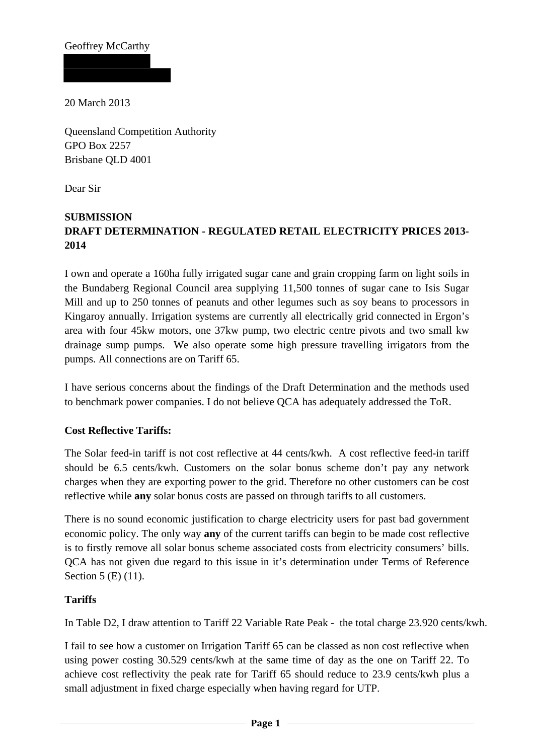Geoffrey McCarthy

20 March 2013

Queensland Competition Authority GPO Box 2257 Brisbane QLD 4001

Dear Sir

# **SUBMISSION DRAFT DETERMINATION - REGULATED RETAIL ELECTRICITY PRICES 2013- 2014**

I own and operate a 160ha fully irrigated sugar cane and grain cropping farm on light soils in the Bundaberg Regional Council area supplying 11,500 tonnes of sugar cane to Isis Sugar Mill and up to 250 tonnes of peanuts and other legumes such as soy beans to processors in Kingaroy annually. Irrigation systems are currently all electrically grid connected in Ergon's area with four 45kw motors, one 37kw pump, two electric centre pivots and two small kw drainage sump pumps. We also operate some high pressure travelling irrigators from the pumps. All connections are on Tariff 65.

I have serious concerns about the findings of the Draft Determination and the methods used to benchmark power companies. I do not believe QCA has adequately addressed the ToR.

### **Cost Reflective Tariffs:**

The Solar feed-in tariff is not cost reflective at 44 cents/kwh. A cost reflective feed-in tariff should be 6.5 cents/kwh. Customers on the solar bonus scheme don't pay any network charges when they are exporting power to the grid. Therefore no other customers can be cost reflective while **any** solar bonus costs are passed on through tariffs to all customers.

There is no sound economic justification to charge electricity users for past bad government economic policy. The only way **any** of the current tariffs can begin to be made cost reflective is to firstly remove all solar bonus scheme associated costs from electricity consumers' bills. QCA has not given due regard to this issue in it's determination under Terms of Reference Section 5 (E) (11).

### **Tariffs**

In Table D2, I draw attention to Tariff 22 Variable Rate Peak - the total charge 23.920 cents/kwh.

I fail to see how a customer on Irrigation Tariff 65 can be classed as non cost reflective when using power costing 30.529 cents/kwh at the same time of day as the one on Tariff 22. To achieve cost reflectivity the peak rate for Tariff 65 should reduce to 23.9 cents/kwh plus a small adjustment in fixed charge especially when having regard for UTP.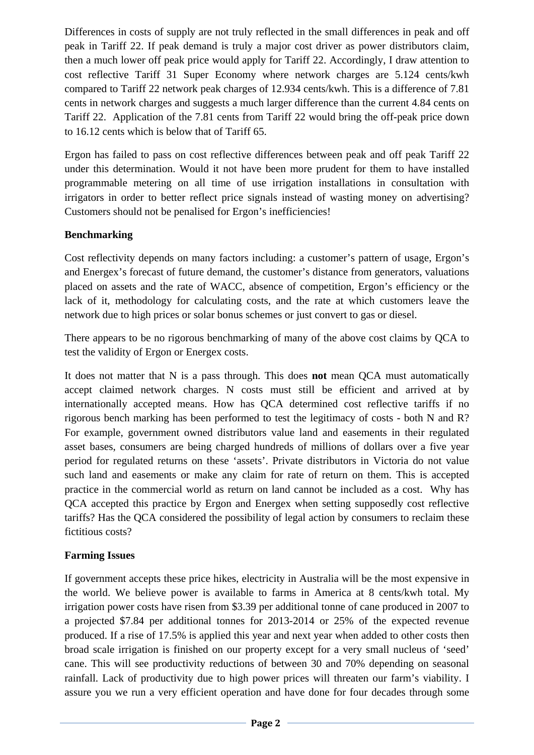Differences in costs of supply are not truly reflected in the small differences in peak and off peak in Tariff 22. If peak demand is truly a major cost driver as power distributors claim, then a much lower off peak price would apply for Tariff 22. Accordingly, I draw attention to cost reflective Tariff 31 Super Economy where network charges are 5.124 cents/kwh compared to Tariff 22 network peak charges of 12.934 cents/kwh. This is a difference of 7.81 cents in network charges and suggests a much larger difference than the current 4.84 cents on Tariff 22. Application of the 7.81 cents from Tariff 22 would bring the off-peak price down to 16.12 cents which is below that of Tariff 65.

Ergon has failed to pass on cost reflective differences between peak and off peak Tariff 22 under this determination. Would it not have been more prudent for them to have installed programmable metering on all time of use irrigation installations in consultation with irrigators in order to better reflect price signals instead of wasting money on advertising? Customers should not be penalised for Ergon's inefficiencies!

## **Benchmarking**

Cost reflectivity depends on many factors including: a customer's pattern of usage, Ergon's and Energex's forecast of future demand, the customer's distance from generators, valuations placed on assets and the rate of WACC, absence of competition, Ergon's efficiency or the lack of it, methodology for calculating costs, and the rate at which customers leave the network due to high prices or solar bonus schemes or just convert to gas or diesel.

There appears to be no rigorous benchmarking of many of the above cost claims by QCA to test the validity of Ergon or Energex costs.

It does not matter that N is a pass through. This does **not** mean QCA must automatically accept claimed network charges. N costs must still be efficient and arrived at by internationally accepted means. How has QCA determined cost reflective tariffs if no rigorous bench marking has been performed to test the legitimacy of costs - both N and R? For example, government owned distributors value land and easements in their regulated asset bases, consumers are being charged hundreds of millions of dollars over a five year period for regulated returns on these 'assets'. Private distributors in Victoria do not value such land and easements or make any claim for rate of return on them. This is accepted practice in the commercial world as return on land cannot be included as a cost. Why has QCA accepted this practice by Ergon and Energex when setting supposedly cost reflective tariffs? Has the QCA considered the possibility of legal action by consumers to reclaim these fictitious costs?

## **Farming Issues**

If government accepts these price hikes, electricity in Australia will be the most expensive in the world. We believe power is available to farms in America at 8 cents/kwh total. My irrigation power costs have risen from \$3.39 per additional tonne of cane produced in 2007 to a projected \$7.84 per additional tonnes for 2013-2014 or 25% of the expected revenue produced. If a rise of 17.5% is applied this year and next year when added to other costs then broad scale irrigation is finished on our property except for a very small nucleus of 'seed' cane. This will see productivity reductions of between 30 and 70% depending on seasonal rainfall. Lack of productivity due to high power prices will threaten our farm's viability. I assure you we run a very efficient operation and have done for four decades through some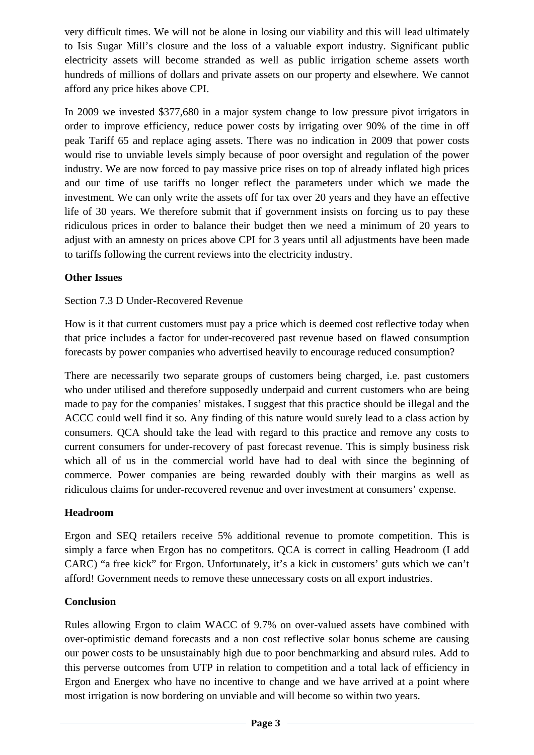very difficult times. We will not be alone in losing our viability and this will lead ultimately to Isis Sugar Mill's closure and the loss of a valuable export industry. Significant public electricity assets will become stranded as well as public irrigation scheme assets worth hundreds of millions of dollars and private assets on our property and elsewhere. We cannot afford any price hikes above CPI.

In 2009 we invested \$377,680 in a major system change to low pressure pivot irrigators in order to improve efficiency, reduce power costs by irrigating over 90% of the time in off peak Tariff 65 and replace aging assets. There was no indication in 2009 that power costs would rise to unviable levels simply because of poor oversight and regulation of the power industry. We are now forced to pay massive price rises on top of already inflated high prices and our time of use tariffs no longer reflect the parameters under which we made the investment. We can only write the assets off for tax over 20 years and they have an effective life of 30 years. We therefore submit that if government insists on forcing us to pay these ridiculous prices in order to balance their budget then we need a minimum of 20 years to adjust with an amnesty on prices above CPI for 3 years until all adjustments have been made to tariffs following the current reviews into the electricity industry.

## **Other Issues**

## Section 7.3 D Under-Recovered Revenue

How is it that current customers must pay a price which is deemed cost reflective today when that price includes a factor for under-recovered past revenue based on flawed consumption forecasts by power companies who advertised heavily to encourage reduced consumption?

There are necessarily two separate groups of customers being charged, i.e. past customers who under utilised and therefore supposedly underpaid and current customers who are being made to pay for the companies' mistakes. I suggest that this practice should be illegal and the ACCC could well find it so. Any finding of this nature would surely lead to a class action by consumers. QCA should take the lead with regard to this practice and remove any costs to current consumers for under-recovery of past forecast revenue. This is simply business risk which all of us in the commercial world have had to deal with since the beginning of commerce. Power companies are being rewarded doubly with their margins as well as ridiculous claims for under-recovered revenue and over investment at consumers' expense.

## **Headroom**

Ergon and SEQ retailers receive 5% additional revenue to promote competition. This is simply a farce when Ergon has no competitors. QCA is correct in calling Headroom (I add CARC) "a free kick" for Ergon. Unfortunately, it's a kick in customers' guts which we can't afford! Government needs to remove these unnecessary costs on all export industries.

## **Conclusion**

Rules allowing Ergon to claim WACC of 9.7% on over-valued assets have combined with over-optimistic demand forecasts and a non cost reflective solar bonus scheme are causing our power costs to be unsustainably high due to poor benchmarking and absurd rules. Add to this perverse outcomes from UTP in relation to competition and a total lack of efficiency in Ergon and Energex who have no incentive to change and we have arrived at a point where most irrigation is now bordering on unviable and will become so within two years.